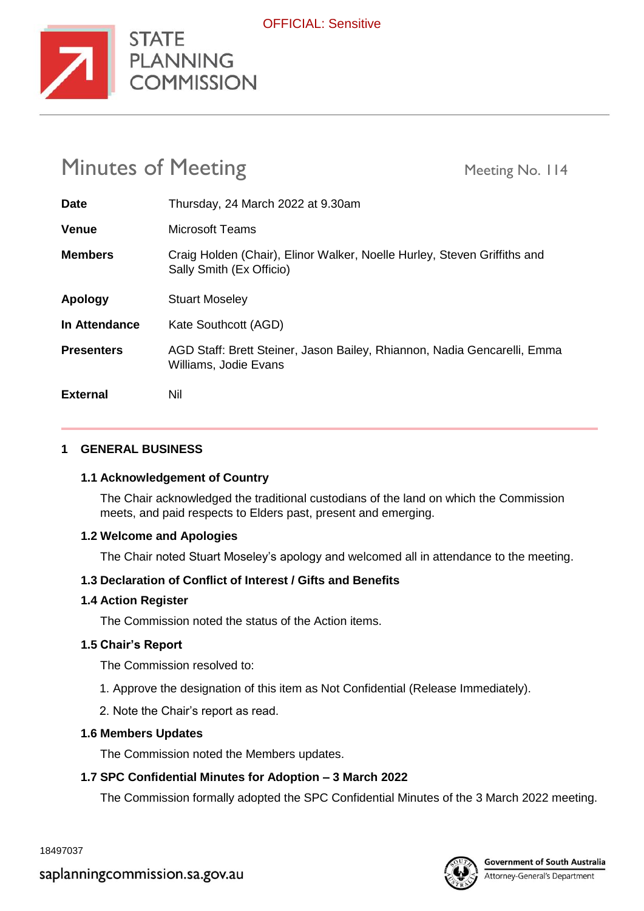

# Minutes of Meeting Meeting Meeting No. 114

STATE

**COMMISSION** 

| <b>Date</b>       | Thursday, 24 March 2022 at 9.30am                                                                    |
|-------------------|------------------------------------------------------------------------------------------------------|
| <b>Venue</b>      | <b>Microsoft Teams</b>                                                                               |
| <b>Members</b>    | Craig Holden (Chair), Elinor Walker, Noelle Hurley, Steven Griffiths and<br>Sally Smith (Ex Officio) |
| Apology           | <b>Stuart Moseley</b>                                                                                |
| In Attendance     | Kate Southcott (AGD)                                                                                 |
| <b>Presenters</b> | AGD Staff: Brett Steiner, Jason Bailey, Rhiannon, Nadia Gencarelli, Emma<br>Williams, Jodie Evans    |
| <b>External</b>   | Nil                                                                                                  |

## **1 GENERAL BUSINESS**

## **1.1 Acknowledgement of Country**

The Chair acknowledged the traditional custodians of the land on which the Commission meets, and paid respects to Elders past, present and emerging.

## **1.2 Welcome and Apologies**

The Chair noted Stuart Moseley's apology and welcomed all in attendance to the meeting.

## **1.3 Declaration of Conflict of Interest / Gifts and Benefits**

## **1.4 Action Register**

The Commission noted the status of the Action items.

## **1.5 Chair's Report**

The Commission resolved to:

- 1. Approve the designation of this item as Not Confidential (Release Immediately).
- 2. Note the Chair's report as read.

## **1.6 Members Updates**

The Commission noted the Members updates.

## **1.7 SPC Confidential Minutes for Adoption – 3 March 2022**

The Commission formally adopted the SPC Confidential Minutes of the 3 March 2022 meeting.

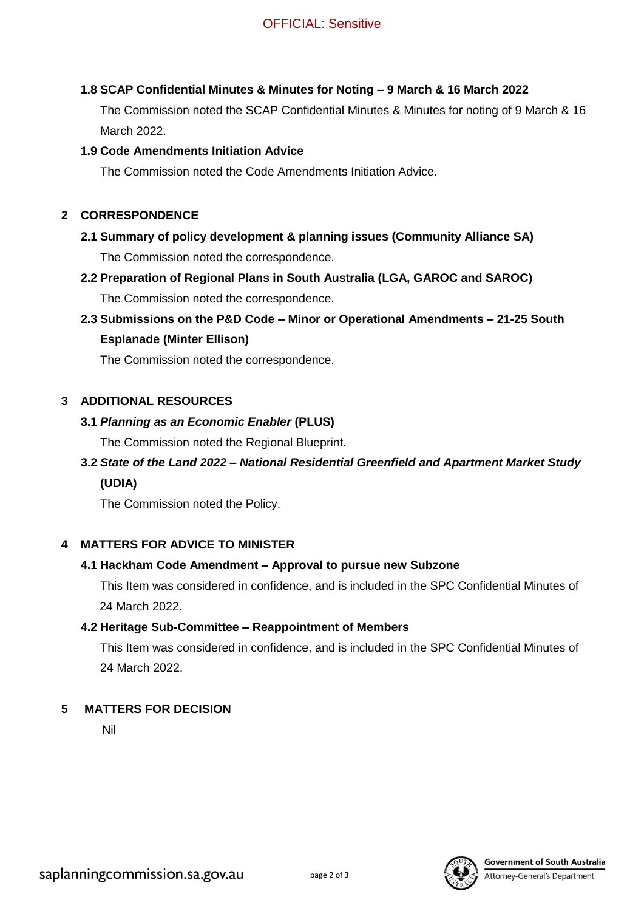## **1.8 SCAP Confidential Minutes & Minutes for Noting – 9 March & 16 March 2022**

The Commission noted the SCAP Confidential Minutes & Minutes for noting of 9 March & 16 March 2022.

## **1.9 Code Amendments Initiation Advice**

The Commission noted the Code Amendments Initiation Advice.

## **2 CORRESPONDENCE**

## **2.1 Summary of policy development & planning issues (Community Alliance SA)** The Commission noted the correspondence.

**2.2 Preparation of Regional Plans in South Australia (LGA, GAROC and SAROC)** The Commission noted the correspondence.

## **2.3 Submissions on the P&D Code – Minor or Operational Amendments – 21-25 South**

## **Esplanade (Minter Ellison)**

The Commission noted the correspondence.

## **3 ADDITIONAL RESOURCES**

## **3.1** *Planning as an Economic Enabler* **(PLUS)**

The Commission noted the Regional Blueprint.

## **3.2** *State of the Land 2022 – National Residential Greenfield and Apartment Market Study* **(UDIA)**

The Commission noted the Policy.

## **4 MATTERS FOR ADVICE TO MINISTER**

## **4.1 Hackham Code Amendment – Approval to pursue new Subzone**

This Item was considered in confidence, and is included in the SPC Confidential Minutes of 24 March 2022.

## **4.2 Heritage Sub-Committee – Reappointment of Members**

This Item was considered in confidence, and is included in the SPC Confidential Minutes of 24 March 2022.

## **5 MATTERS FOR DECISION**

Nil



#### **Government of South Australia**

**Attorney-General's Department**